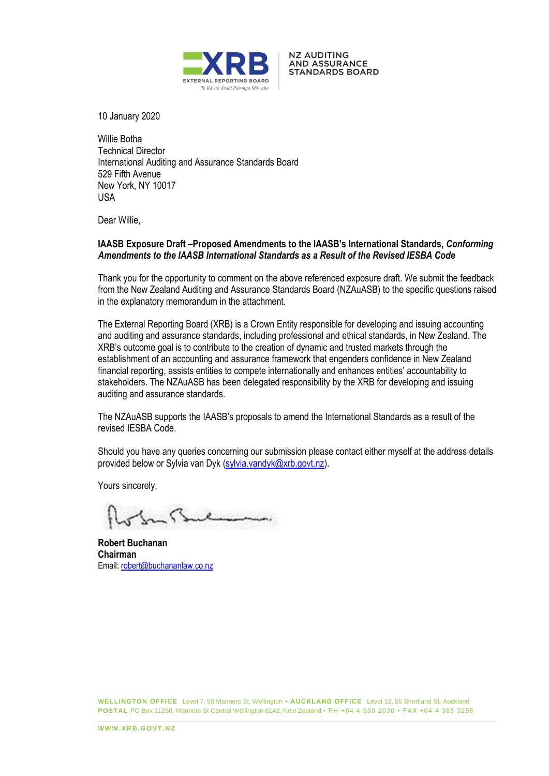

**NZ AUDITING AND ASSURANCE STANDARDS BOARD** 

10 January 2020

Willie Botha Technical Director International Auditing and Assurance Standards Board 529 Fifth Avenue New York, NY 10017 USA

Dear Willie,

## **IAASB Exposure Draft –Proposed Amendments to the IAASB's International Standards,** *Conforming Amendments to the IAASB International Standards as a Result of the Revised IESBA Code*

Thank you for the opportunity to comment on the above referenced exposure draft. We submit the feedback from the New Zealand Auditing and Assurance Standards Board (NZAuASB) to the specific questions raised in the explanatory memorandum in the attachment.

The External Reporting Board (XRB) is a Crown Entity responsible for developing and issuing accounting and auditing and assurance standards, including professional and ethical standards, in New Zealand. The XRB's outcome goal is to contribute to the creation of dynamic and trusted markets through the establishment of an accounting and assurance framework that engenders confidence in New Zealand financial reporting, assists entities to compete internationally and enhances entities' accountability to stakeholders. The NZAuASB has been delegated responsibility by the XRB for developing and issuing auditing and assurance standards.

The NZAuASB supports the IAASB's proposals to amend the International Standards as a result of the revised IESBA Code.

Should you have any queries concerning our submission please contact either myself at the address details provided below or Sylvia van Dyk (sylvia.vandyk@xrb.govt.nz).

Yours sincerely,

**Robert Buchanan Chairman** Email: robert@buchananlaw.co.nz

**WELLINGTON OFFICE** Level 7, 50 Manners St, Wellington **• AUCKLAND OFFICE** Level 12, 55 Shortland St, Auckland **POSTAL** PO Box 11250, Manners St Central Wellington 6142, New Zealand • PH +64 4 550 2030 • FAX +64 4 385 3256